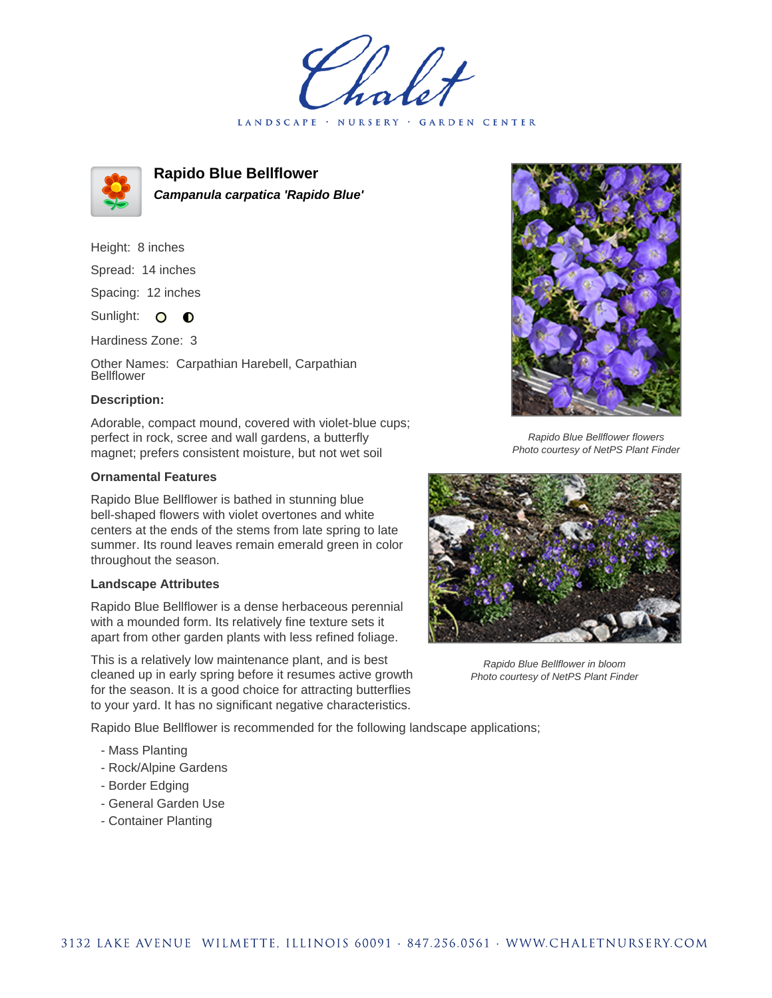LANDSCAPE · NURSERY · GARDEN CENTER



**Rapido Blue Bellflower Campanula carpatica 'Rapido Blue'**

Height: 8 inches

Spread: 14 inches

Spacing: 12 inches

Sunlight: O **O** 

Hardiness Zone: 3

Other Names: Carpathian Harebell, Carpathian Bellflower

## **Description:**

Adorable, compact mound, covered with violet-blue cups; perfect in rock, scree and wall gardens, a butterfly magnet; prefers consistent moisture, but not wet soil

## **Ornamental Features**

Rapido Blue Bellflower is bathed in stunning blue bell-shaped flowers with violet overtones and white centers at the ends of the stems from late spring to late summer. Its round leaves remain emerald green in color throughout the season.

## **Landscape Attributes**

Rapido Blue Bellflower is a dense herbaceous perennial with a mounded form. Its relatively fine texture sets it apart from other garden plants with less refined foliage.

This is a relatively low maintenance plant, and is best cleaned up in early spring before it resumes active growth for the season. It is a good choice for attracting butterflies to your yard. It has no significant negative characteristics.

Rapido Blue Bellflower is recommended for the following landscape applications;

- Mass Planting
- Rock/Alpine Gardens
- Border Edging
- General Garden Use
- Container Planting



Rapido Blue Bellflower flowers Photo courtesy of NetPS Plant Finder



Rapido Blue Bellflower in bloom Photo courtesy of NetPS Plant Finder